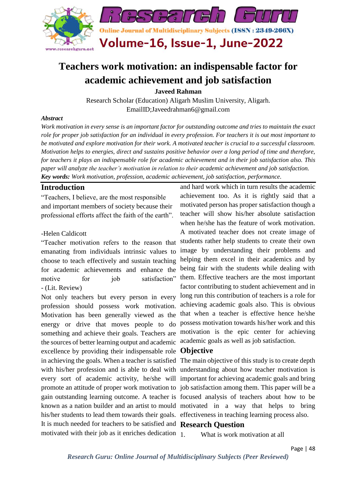

## **Teachers work motivation: an indispensable factor for academic achievement and job satisfaction**

**Javeed Rahman**

Research Scholar (Education) Aligarh Muslim University, Aligarh. EmailID;Javeedrahman6@gmail.com

#### *Abstract*

*Work motivation in every sense is an important factor for outstanding outcome and tries to maintain the exact role for proper job satisfaction for an individual in every profession. For teachers it is out most important to be motivated and explore motivation for their work. A motivated teacher is crucial to a successful classroom. Motivation helps to energies, direct and sustains positive behavior over a long period of time and therefore, for teachers it plays an indispensable role for academic achievement and in their job satisfaction also. This paper will analyze the teacher's motivation in relation to their academic achievement and job satisfaction. Key words: Work motivation, profession, academic achievement, job satisfaction, performance.*

#### **Introduction**

"Teachers, I believe, are the most responsible and important members of society because their professional efforts affect the faith of the earth".

#### -Helen Caldicott

"Teacher motivation refers to the reason that emanating from individuals intrinsic values to choose to teach effectively and sustain teaching for academic achievements and enhance the motive for iob satisfaction" - (Lit. Review)

Not only teachers but every person in every profession should possess work motivation. Motivation has been generally viewed as the energy or drive that moves people to do something and achieve their goals. Teachers are the sources of better learning output and academic academic goals as well as job satisfaction. excellence by providing their indispensable role **Objective** his/her students to lead them towards their goals. effectiveness in teaching learning process also. It is much needed for teachers to be satisfied and **Research Question** motivated with their job as it enriches dedication 1

and hard work which in turn results the academic achievement too. As it is rightly said that a motivated person has proper satisfaction though a teacher will show his/her absolute satisfaction when he/she has the feature of work motivation. A motivated teacher does not create image of students rather help students to create their own image by understanding their problems and helping them excel in their academics and by being fair with the students while dealing with them. Effective teachers are the most important factor contributing to student achievement and in long run this contribution of teachers is a role for achieving academic goals also. This is obvious that when a teacher is effective hence he/she possess motivation towards his/her work and this motivation is the epic center for achieving

in achieving the goals. When a teacher is satisfied The main objective of this study is to create depth with his/her profession and is able to deal with understanding about how teacher motivation is every sort of academic activity, he/she will important for achieving academic goals and bring promote an attitude of proper work motivation to job satisfaction among them. This paper will be a gain outstanding learning outcome. A teacher is focused analysis of teachers about how to be known as a nation builder and an artist to mould motivated in a way that helps to bring

What is work motivation at all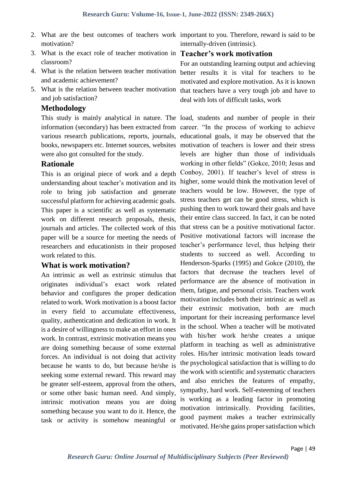- 2. What are the best outcomes of teachers work important to you. Therefore, reward is said to be motivation?
- 3. What is the exact role of teacher motivation in **Teacher's work motivation** classroom?
- 4. What is the relation between teacher motivation and academic achievement?
- 5. What is the relation between teacher motivation and job satisfaction?

#### **Methodology**

information (secondary) has been extracted from career. "In the process of working to achieve various research publications, reports, journals, educational goals, it may be observed that the books, newspapers etc. Internet sources, websites motivation of teachers is lower and their stress were also got consulted for the study.

### **Rationale**

This is an original piece of work and a depth understanding about teacher's motivation and its role to bring job satisfaction and generate successful platform for achieving academic goals. This paper is a scientific as well as systematic work on different research proposals, thesis, journals and articles. The collected work of this paper will be a source for meeting the needs of researchers and educationists in their proposed work related to this.

### **What is work motivation?**

An intrinsic as well as extrinsic stimulus that originates individual's exact work related behavior and configures the proper dedication related to work. Work motivation is a boost factor in every field to accumulate effectiveness, quality, authentication and dedication in work. It is a desire of willingness to make an effort in ones work. In contrast, extrinsic motivation means you are doing something because of some external forces. An individual is not doing that activity because he wants to do, but because he/she is seeking some external reward. This reward may be greater self-esteem, approval from the others, or some other basic human need. And simply, intrinsic motivation means you are doing something because you want to do it. Hence, the task or activity is somehow meaningful or

internally-driven (intrinsic).

For an outstanding learning output and achieving better results it is vital for teachers to be motivated and explore motivation. As it is known that teachers have a very tough job and have to deal with lots of difficult tasks, work

This study is mainly analytical in nature. The load, students and number of people in their levels are higher than those of individuals working in other fields" (Gokce, 2010; Jesus and Conboy, 2001). If teacher's level of stress is higher, some would think the motivation level of teachers would be low. However, the type of stress teachers get can be good stress, which is pushing then to work toward their goals and have their entire class succeed. In fact, it can be noted that stress can be a positive motivational factor. Positive motivational factors will increase the teacher's performance level, thus helping their students to succeed as well. According to Henderson-Sparks (1995) and Gokce (2010), the factors that decrease the teachers level of performance are the absence of motivation in them, fatigue, and personal crisis. Teachers work motivation includes both their intrinsic as well as their extrinsic motivation, both are much important for their increasing performance level in the school. When a teacher will be motivated with his/her work he/she creates a unique platform in teaching as well as administrative roles. His/her intrinsic motivation leads toward the psychological satisfaction that is willing to do the work with scientific and systematic characters and also enriches the features of empathy, sympathy, hard work. Self-esteeming of teachers is working as a leading factor in promoting motivation intrinsically. Providing facilities, good payment makes a teacher extrinsically motivated. He/she gains proper satisfaction which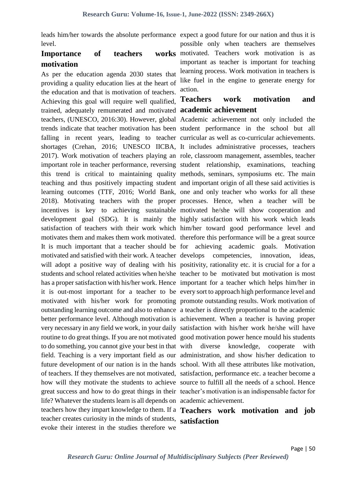level.

### **Importance** of teachers **motivation**

As per the education agenda 2030 states that providing a quality education lies at the heart of the education and that is motivation of teachers. Achieving this goal will require well qualified, trained, adequately remunerated and motivated **academic achievement** teachers, (UNESCO, 2016:30). However, global Academic achievement not only included the trends indicate that teacher motivation has been student performance in the school but all falling in recent years, leading to teacher curricular as well as co-curricular achievements. shortages (Crehan, 2016; UNESCO IICBA, It includes administrative processes, teachers 2017). Work motivation of teachers playing an role, classroom management, assembles, teacher important role in teacher performance, reversing student relationship, examinations, teaching this trend is critical to maintaining quality methods, seminars, symposiums etc. The main teaching and thus positively impacting student and important origin of all these said activities is learning outcomes (TTF, 2016; World Bank, one and only teacher who works for all these 2018). Motivating teachers with the proper processes. Hence, when a teacher will be incentives is key to achieving sustainable motivated he/she will show cooperation and development goal (SDG). It is mainly the highly satisfaction with his work which leads satisfaction of teachers with their work which him/her toward good performance level and motivates them and makes them work motivated. therefore this performance will be a great source It is much important that a teacher should be for achieving academic goals. Motivation motivated and satisfied with their work. A teacher develops competencies, innovation, ideas, will adopt a positive way of dealing with his positivity, rationality etc. it is crucial for a for a students and school related activities when he/she teacher to be motivated but motivation is most has a proper satisfaction with his/her work. Hence important for a teacher which helps him/her in it is out-most important for a teacher to be every sort to approach high performance level and motivated with his/her work for promoting promote outstanding results. Work motivation of outstanding learning outcome and also to enhance a teacher is directly proportional to the academic better performance level. Although motivation is achievement. When a teacher is having proper very necessary in any field we work, in your daily satisfaction with his/her work he/she will have routine to do great things. If you are not motivated good motivation power hence mould his students to do something, you cannot give your best in that with diverse knowledge, cooperate with field. Teaching is a very important field as our administration, and show his/her dedication to future development of our nation is in the hands school. With all these attributes like motivation, of teachers. If they themselves are not motivated, satisfaction, performance etc. a teacher become a how will they motivate the students to achieve source to fulfill all the needs of a school. Hence great success and how to do great things in their teacher's motivation is an indispensable factor for life? Whatever the students learn is all depends on academic achievement. teachers how they impart knowledge to them. If a **Teachers work motivation and job**  teacher creates curiosity in the minds of students, **satisfaction**evoke their interest in the studies therefore we

leads him/her towards the absolute performance expect a good future for our nation and thus it is possible only when teachers are themselves works motivated. Teachers work motivation is as important as teacher is important for teaching learning process. Work motivation in teachers is like fuel in the engine to generate energy for action.

# **Teachers work motivation and**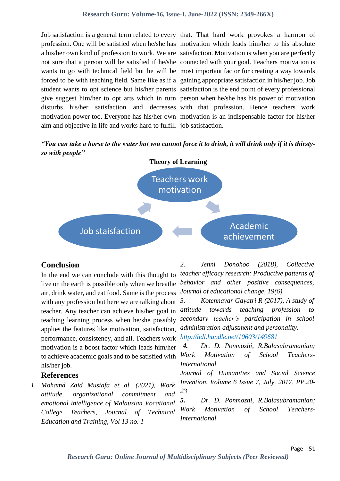profession. One will be satisfied when he/she has motivation which leads him/her to his absolute a his/her own kind of profession to work. We are satisfaction. Motivation is when you are perfectly not sure that a person will be satisfied if he/she connected with your goal. Teachers motivation is wants to go with technical field but he will be most important factor for creating a way towards forced to be with teaching field. Same like as if a gaining appropriate satisfaction in his/her job. Job student wants to opt science but his/her parents satisfaction is the end point of every professional give suggest him/her to opt arts which in turn person when he/she has his power of motivation disturbs his/her satisfaction and decreases with that profession. Hence teachers work motivation power too. Everyone has his/her own motivation is an indispensable factor for his/her aim and objective in life and works hard to fulfill job satisfaction.

Job satisfaction is a general term related to every that. That hard work provokes a harmon of

*"You can take a horse to the water but you cannot force it to drink, it will drink only if it is thirstyso with people"* 



### **Conclusion**

live on the earth is possible only when we breathe *behavior and other positive consequences,*  air, drink water, and eat food. Same is the process *Journal of educational change, 19(6).* with any profession but here we are talking about  $3$ . teacher. Any teacher can achieve his/her goal in *attitude* teaching learning process when he/she possibly applies the features like motivation, satisfaction, performance, consistency, and all. Teachers work motivation is a boost factor which leads him/her to achieve academic goals and to be satisfied with  $Work$ his/her job.

### **References**

*1. Mohamd Zaid Mustafa et al. (2021), Work attitude, organizational commitment and emotional intelligence of Malausian Vocational College Teachers, Journal of Technical Education and Training, Vol 13 no. 1*

In the end we can conclude with this thought to *teacher efficacy research: Productive patterns of 2. Jenni Donohoo (2018), Collective* 

> *3. Kotennavar Gayatri R (2017), A study of attitude towards teaching profession to secondary teacher's participation in school administration adjustment and personality. http://hdl.handle.net/10603/149681*

> *4. Dr. D. Ponmozhi, R.Balasubramanian; Motivation of School Teachers-International*

> *Journal of Humanities and Social Science Invention, Volume 6 Issue 7, July. 2017, PP.20- 23*

> *5. Dr. D. Ponmozhi, R.Balasubramanian; Work Motivation of School Teachers-International*